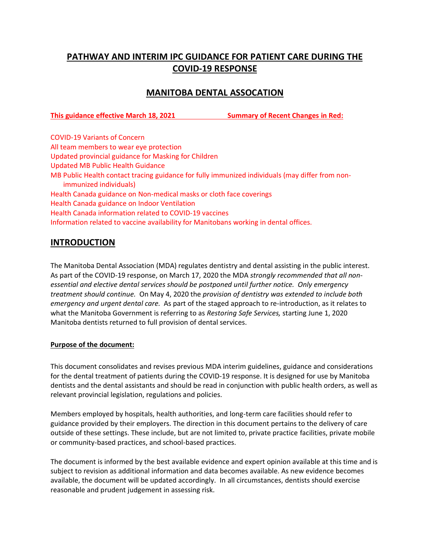# **PATHWAY AND INTERIM IPC GUIDANCE FOR PATIENT CARE DURING THE COVID-19 RESPONSE**

## **MANITOBA DENTAL ASSOCATION**

**This guidance effective March 18, 2021 Summary of Recent Changes in Red:**

COVID-19 Variants of Concern All team members to wear eye protection Updated provincial guidance for Masking for Children Updated MB Public Health Guidance MB Public Health contact tracing guidance for fully immunized individuals (may differ from nonimmunized individuals) Health Canada guidance on Non-medical masks or cloth face coverings Health Canada guidance on Indoor Ventilation Health Canada information related to COVID-19 vaccines Information related to vaccine availability for Manitobans working in dental offices.

### **INTRODUCTION**

The Manitoba Dental Association (MDA) regulates dentistry and dental assisting in the public interest. As part of the COVID-19 response, on March 17, 2020 the MDA *strongly recommended that all nonessential and elective dental services should be postponed until further notice. Only emergency treatment should continue.* On May 4, 2020 the *provision of dentistry was extended to include both emergency and urgent dental care.* As part of the staged approach to re-introduction, as it relates to what the Manitoba Government is referring to as *Restoring Safe Services,* starting June 1, 2020 Manitoba dentists returned to full provision of dental services.

#### **Purpose of the document:**

This document consolidates and revises previous MDA interim guidelines, guidance and considerations for the dental treatment of patients during the COVID-19 response. It is designed for use by Manitoba dentists and the dental assistants and should be read in conjunction with public health orders, as well as relevant provincial legislation, regulations and policies.

Members employed by hospitals, health authorities, and long-term care facilities should refer to guidance provided by their employers. The direction in this document pertains to the delivery of care outside of these settings. These include, but are not limited to, private practice facilities, private mobile or community-based practices, and school-based practices.

The document is informed by the best available evidence and expert opinion available at this time and is subject to revision as additional information and data becomes available. As new evidence becomes available, the document will be updated accordingly. In all circumstances, dentists should exercise reasonable and prudent judgement in assessing risk.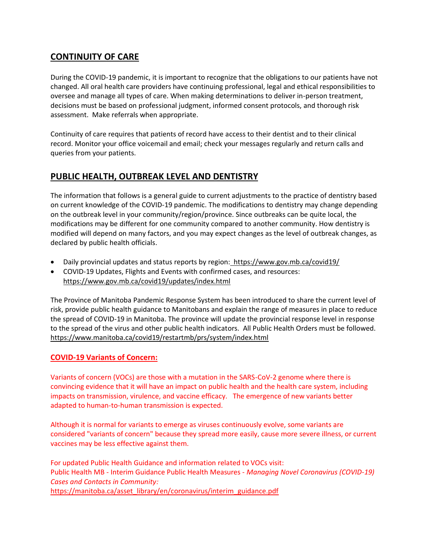# **CONTINUITY OF CARE**

During the COVID-19 pandemic, it is important to recognize that the obligations to our patients have not changed. All oral health care providers have continuing professional, legal and ethical responsibilities to oversee and manage all types of care. When making determinations to deliver in-person treatment, decisions must be based on professional judgment, informed consent protocols, and thorough risk assessment. Make referrals when appropriate.

Continuity of care requires that patients of record have access to their dentist and to their clinical record. Monitor your office voicemail and email; check your messages regularly and return calls and queries from your patients.

# **PUBLIC HEALTH, OUTBREAK LEVEL AND DENTISTRY**

The information that follows is a general guide to current adjustments to the practice of dentistry based on current knowledge of the COVID-19 pandemic. The modifications to dentistry may change depending on the outbreak level in your community/region/province. Since outbreaks can be quite local, the modifications may be different for one community compared to another community. How dentistry is modified will depend on many factors, and you may expect changes as the level of outbreak changes, as declared by public health officials.

- Daily provincial updates and status reports by region: <https://www.gov.mb.ca/covid19/>
- COVID-19 Updates, Flights and Events with confirmed cases, and resources: <https://www.gov.mb.ca/covid19/updates/index.html>

The Province of Manitoba Pandemic Response System has been introduced to share the current level of risk, provide public health guidance to Manitobans and explain the range of measures in place to reduce the spread of COVID-19 in Manitoba. The province will update the provincial response level in response to the spread of the virus and other public health indicators. All Public Health Orders must be followed. <https://www.manitoba.ca/covid19/restartmb/prs/system/index.html>

### **COVID-19 Variants of Concern:**

Variants of concern (VOCs) are those with a mutation in the SARS-CoV-2 genome where there is convincing evidence that it will have an impact on public health and the health care system, including impacts on transmission, virulence, and vaccine efficacy. The emergence of new variants better adapted to human-to-human transmission is expected.

Although it is normal for variants to emerge as viruses continuously evolve, some variants are considered "variants of concern" because they spread more easily, cause more severe illness, or current vaccines may be less effective against them.

For updated Public Health Guidance and information related to VOCs visit: Public Health MB - Interim Guidance Public Health Measures - *Managing Novel Coronavirus (COVID-19) Cases and Contacts in Community:* [https://manitoba.ca/asset\\_library/en/coronavirus/interim\\_guidance.pdf](https://manitoba.ca/asset_library/en/coronavirus/interim_guidance.pdf)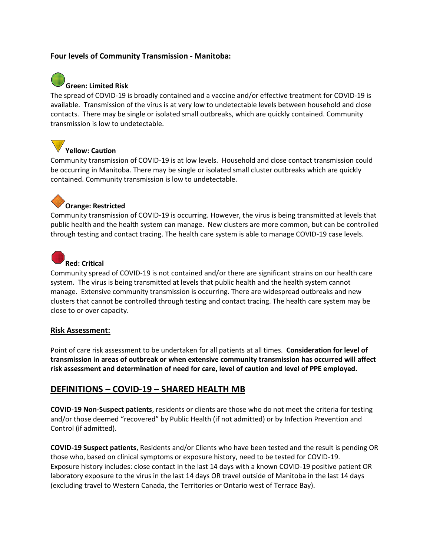#### **Four levels of Community Transmission - Manitoba:**



The spread of COVID-19 is broadly contained and a vaccine and/or effective treatment for COVID-19 is available. Transmission of the virus is at very low to undetectable levels between household and close contacts. There may be single or isolated small outbreaks, which are quickly contained. Community transmission is low to undetectable.

# **Yellow: Caution**

Community transmission of COVID-19 is at low levels. Household and close contact transmission could be occurring in Manitoba. There may be single or isolated small cluster outbreaks which are quickly contained. Community transmission is low to undetectable.

# **Orange: Restricted**

Community transmission of COVID-19 is occurring. However, the virus is being transmitted at levels that public health and the health system can manage. New clusters are more common, but can be controlled through testing and contact tracing. The health care system is able to manage COVID-19 case levels.



# **Red: Critical**

Community spread of COVID-19 is not contained and/or there are significant strains on our health care system. The virus is being transmitted at levels that public health and the health system cannot manage. Extensive community transmission is occurring. There are widespread outbreaks and new clusters that cannot be controlled through testing and contact tracing. The health care system may be close to or over capacity.

#### **Risk Assessment:**

Point of care risk assessment to be undertaken for all patients at all times. **Consideration for level of transmission in areas of outbreak or when extensive community transmission has occurred will affect risk assessment and determination of need for care, level of caution and level of PPE employed.**

## **DEFINITIONS – COVID-19 – SHARED HEALTH MB**

**COVID-19 Non-Suspect patients**, residents or clients are those who do not meet the criteria for testing and/or those deemed "recovered" by Public Health (if not admitted) or by Infection Prevention and Control (if admitted).

**COVID-19 Suspect patients**, Residents and/or Clients who have been tested and the result is pending OR those who, based on clinical symptoms or exposure history, need to be tested for COVID-19. Exposure history includes: close contact in the last 14 days with a known COVID-19 positive patient OR laboratory exposure to the virus in the last 14 days OR travel outside of Manitoba in the last 14 days (excluding travel to Western Canada, the Territories or Ontario west of Terrace Bay).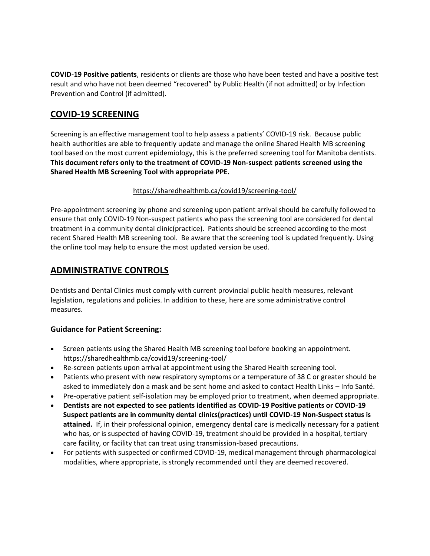**COVID-19 Positive patients**, residents or clients are those who have been tested and have a positive test result and who have not been deemed "recovered" by Public Health (if not admitted) or by Infection Prevention and Control (if admitted).

# **COVID-19 SCREENING**

Screening is an effective management tool to help assess a patients' COVID-19 risk. Because public health authorities are able to frequently update and manage the online Shared Health MB screening tool based on the most current epidemiology, this is the preferred screening tool for Manitoba dentists. **This document refers only to the treatment of COVID-19 Non-suspect patients screened using the Shared Health MB Screening Tool with appropriate PPE.**

#### <https://sharedhealthmb.ca/covid19/screening-tool/>

Pre‐appointment screening by phone and screening upon patient arrival should be carefully followed to ensure that only COVID-19 Non-suspect patients who pass the screening tool are considered for dental treatment in a community dental clinic(practice). Patients should be screened according to the most recent Shared Health MB screening tool. Be aware that the screening tool is updated frequently. Using the online tool may help to ensure the most updated version be used.

### **ADMINISTRATIVE CONTROLS**

Dentists and Dental Clinics must comply with current provincial public health measures, relevant legislation, regulations and policies. In addition to these, here are some administrative control measures.

### **Guidance for Patient Screening:**

- Screen patients using the Shared Health MB screening tool before booking an appointment. <https://sharedhealthmb.ca/covid19/screening-tool/>
- Re-screen patients upon arrival at appointment using the Shared Health screening tool.
- Patients who present with new respiratory symptoms or a temperature of 38 C or greater should be asked to immediately don a mask and be sent home and asked to contact Health Links – Info Santé.
- Pre-operative patient self-isolation may be employed prior to treatment, when deemed appropriate.
- **Dentists are not expected to see patients identified as COVID-19 Positive patients or COVID-19 Suspect patients are in community dental clinics(practices) until COVID-19 Non-Suspect status is attained.** If, in their professional opinion, emergency dental care is medically necessary for a patient who has, or is suspected of having COVID-19, treatment should be provided in a hospital, tertiary care facility, or facility that can treat using transmission-based precautions.
- For patients with suspected or confirmed COVID-19, medical management through pharmacological modalities, where appropriate, is strongly recommended until they are deemed recovered.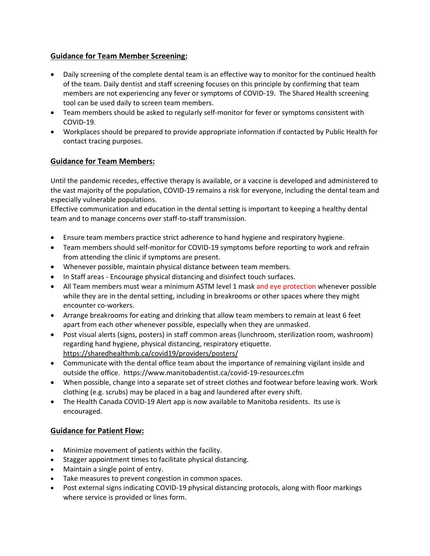#### **Guidance for Team Member Screening:**

- Daily screening of the complete dental team is an effective way to monitor for the continued health of the team. Daily dentist and staff screening focuses on this principle by confirming that team members are not experiencing any fever or symptoms of COVID-19. The Shared Health screening tool can be used daily to screen team members.
- Team members should be asked to regularly self-monitor for fever or symptoms consistent with COVID-19.
- Workplaces should be prepared to provide appropriate information if contacted by Public Health for contact tracing purposes.

### **Guidance for Team Members:**

Until the pandemic recedes, effective therapy is available, or a vaccine is developed and administered to the vast majority of the population, COVID-19 remains a risk for everyone, including the dental team and especially vulnerable populations.

Effective communication and education in the dental setting is important to keeping a healthy dental team and to manage concerns over staff-to-staff transmission.

- Ensure team members practice strict adherence to hand hygiene and respiratory hygiene.
- Team members should self-monitor for COVID-19 symptoms before reporting to work and refrain from attending the clinic if symptoms are present.
- Whenever possible, maintain physical distance between team members.
- In Staff areas Encourage physical distancing and disinfect touch surfaces.
- All Team members must wear a minimum ASTM level 1 mask and eye protection whenever possible while they are in the dental setting, including in breakrooms or other spaces where they might encounter co-workers.
- Arrange breakrooms for eating and drinking that allow team members to remain at least 6 feet apart from each other whenever possible, especially when they are unmasked.
- Post visual alerts (signs, posters) in staff common areas (lunchroom, sterilization room, washroom) regarding hand hygiene, physical distancing, respiratory etiquette. <https://sharedhealthmb.ca/covid19/providers/posters/>
- Communicate with the dental office team about the importance of remaining vigilant inside and outside the office. https://www.manitobadentist.ca/covid-19-resources.cfm
- When possible, change into a separate set of street clothes and footwear before leaving work. Work clothing (e.g. scrubs) may be placed in a bag and laundered after every shift.
- The Health Canada COVID-19 Alert app is now available to Manitoba residents. Its use is encouraged.

#### **Guidance for Patient Flow:**

- Minimize movement of patients within the facility.
- Stagger appointment times to facilitate physical distancing.
- Maintain a single point of entry.
- Take measures to prevent congestion in common spaces.
- Post external signs indicating COVID-19 physical distancing protocols, along with floor markings where service is provided or lines form.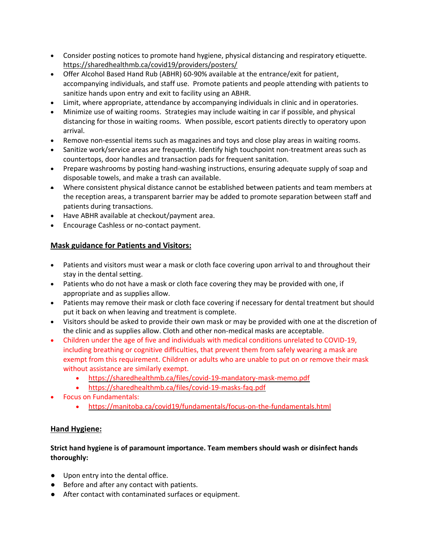- Consider posting notices to promote hand hygiene, physical distancing and respiratory etiquette. https://sharedhealthmb.ca/covid19/providers/posters/
- Offer Alcohol Based Hand Rub (ABHR) 60-90% available at the entrance/exit for patient, accompanying individuals, and staff use. Promote patients and people attending with patients to sanitize hands upon entry and exit to facility using an ABHR.
- Limit, where appropriate, attendance by accompanying individuals in clinic and in operatories.
- Minimize use of waiting rooms. Strategies may include waiting in car if possible, and physical distancing for those in waiting rooms. When possible, escort patients directly to operatory upon arrival.
- Remove non-essential items such as magazines and toys and close play areas in waiting rooms.
- Sanitize work/service areas are frequently. Identify high touchpoint non-treatment areas such as countertops, door handles and transaction pads for frequent sanitation.
- Prepare washrooms by posting hand-washing instructions, ensuring adequate supply of soap and disposable towels, and make a trash can available.
- Where consistent physical distance cannot be established between patients and team members at the reception areas, a transparent barrier may be added to promote separation between staff and patients during transactions.
- Have ABHR available at checkout/payment area.
- Encourage Cashless or no-contact payment.

### **Mask guidance for Patients and Visitors:**

- Patients and visitors must wear a mask or cloth face covering upon arrival to and throughout their stay in the dental setting.
- Patients who do not have a mask or cloth face covering they may be provided with one, if appropriate and as supplies allow.
- Patients may remove their mask or cloth face covering if necessary for dental treatment but should put it back on when leaving and treatment is complete.
- Visitors should be asked to provide their own mask or may be provided with one at the discretion of the clinic and as supplies allow. Cloth and other non-medical masks are acceptable.
- Children under the age of five and individuals with medical conditions unrelated to COVID-19, including breathing or cognitive difficulties, that prevent them from safely wearing a mask are exempt from this requirement. Children or adults who are unable to put on or remove their mask without assistance are similarly exempt.
	- <https://sharedhealthmb.ca/files/covid-19-mandatory-mask-memo.pdf>
	- <https://sharedhealthmb.ca/files/covid-19-masks-faq.pdf>
- Focus on Fundamentals:
	- <https://manitoba.ca/covid19/fundamentals/focus-on-the-fundamentals.html>

### **Hand Hygiene:**

#### **Strict hand hygiene is of paramount importance. Team members should wash or disinfect hands thoroughly:**

- Upon entry into the dental office.
- Before and after any contact with patients.
- After contact with contaminated surfaces or equipment.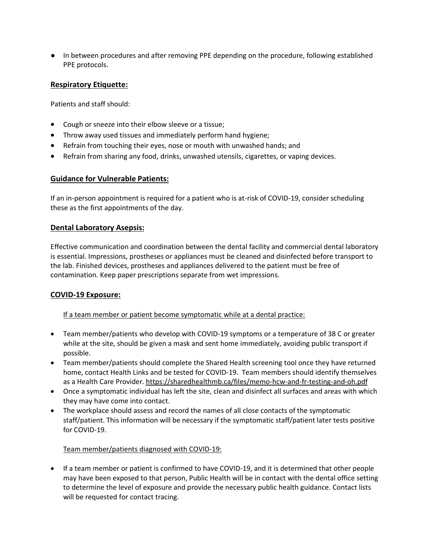● In between procedures and after removing PPE depending on the procedure, following established PPE protocols.

#### **Respiratory Etiquette:**

Patients and staff should:

- Cough or sneeze into their elbow sleeve or a tissue;
- Throw away used tissues and immediately perform hand hygiene;
- Refrain from touching their eyes, nose or mouth with unwashed hands; and
- Refrain from sharing any food, drinks, unwashed utensils, cigarettes, or vaping devices.

#### **Guidance for Vulnerable Patients:**

If an in-person appointment is required for a patient who is at-risk of COVID-19, consider scheduling these as the first appointments of the day.

#### **Dental Laboratory Asepsis:**

Effective communication and coordination between the dental facility and commercial dental laboratory is essential. Impressions, prostheses or appliances must be cleaned and disinfected before transport to the lab. Finished devices, prostheses and appliances delivered to the patient must be free of contamination. Keep paper prescriptions separate from wet impressions.

#### **COVID-19 Exposure:**

If a team member or patient become symptomatic while at a dental practice:

- Team member/patients who develop with COVID-19 symptoms or a temperature of 38 C or greater while at the site, should be given a mask and sent home immediately, avoiding public transport if possible.
- Team member/patients should complete the Shared Health screening tool once they have returned home, contact Health Links and be tested for COVID-19. Team members should identify themselves as a Health Care Provider. <https://sharedhealthmb.ca/files/memo-hcw-and-fr-testing-and-oh.pdf>
- Once a symptomatic individual has left the site, clean and disinfect all surfaces and areas with which they may have come into contact.
- The workplace should assess and record the names of all close contacts of the symptomatic staff/patient. This information will be necessary if the symptomatic staff/patient later tests positive for COVID-19.

#### Team member/patients diagnosed with COVID-19:

• If a team member or patient is confirmed to have COVID-19, and it is determined that other people may have been exposed to that person, Public Health will be in contact with the dental office setting to determine the level of exposure and provide the necessary public health guidance. Contact lists will be requested for contact tracing.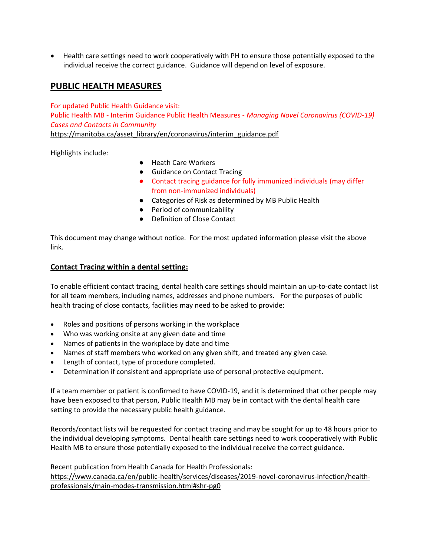• Health care settings need to work cooperatively with PH to ensure those potentially exposed to the individual receive the correct guidance. Guidance will depend on level of exposure.

## **PUBLIC HEALTH MEASURES**

For updated Public Health Guidance visit: Public Health MB - Interim Guidance Public Health Measures - *Managing Novel Coronavirus (COVID-19) Cases and Contacts in Community*

[https://manitoba.ca/asset\\_library/en/coronavirus/interim\\_guidance.pdf](https://manitoba.ca/asset_library/en/coronavirus/interim_guidance.pdf)

Highlights include:

- Heath Care Workers
- Guidance on Contact Tracing
- Contact tracing guidance for fully immunized individuals (may differ from non-immunized individuals)
- Categories of Risk as determined by MB Public Health
- Period of communicability
- Definition of Close Contact

This document may change without notice. For the most updated information please visit the above link.

#### **Contact Tracing within a dental setting:**

To enable efficient contact tracing, dental health care settings should maintain an up-to-date contact list for all team members, including names, addresses and phone numbers. For the purposes of public health tracing of close contacts, facilities may need to be asked to provide:

- Roles and positions of persons working in the workplace
- Who was working onsite at any given date and time
- Names of patients in the workplace by date and time
- Names of staff members who worked on any given shift, and treated any given case.
- Length of contact, type of procedure completed.
- Determination if consistent and appropriate use of personal protective equipment.

If a team member or patient is confirmed to have COVID-19, and it is determined that other people may have been exposed to that person, Public Health MB may be in contact with the dental health care setting to provide the necessary public health guidance.

Records/contact lists will be requested for contact tracing and may be sought for up to 48 hours prior to the individual developing symptoms. Dental health care settings need to work cooperatively with Public Health MB to ensure those potentially exposed to the individual receive the correct guidance.

Recent publication from Health Canada for Health Professionals: [https://www.canada.ca/en/public-health/services/diseases/2019-novel-coronavirus-infection/health](https://www.canada.ca/en/public-health/services/diseases/2019-novel-coronavirus-infection/health-professionals/main-modes-transmission.html#shr-pg0)[professionals/main-modes-transmission.html#shr-pg0](https://www.canada.ca/en/public-health/services/diseases/2019-novel-coronavirus-infection/health-professionals/main-modes-transmission.html#shr-pg0)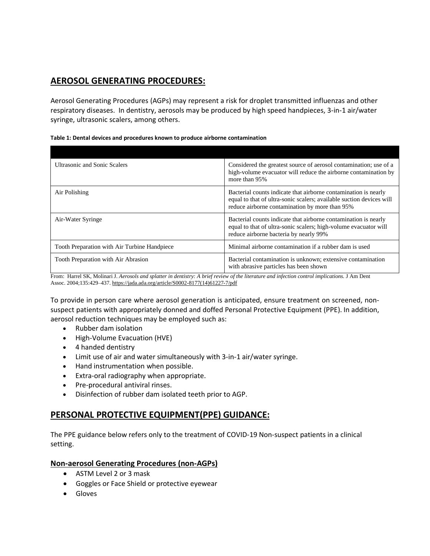# **AEROSOL GENERATING PROCEDURES:**

Aerosol Generating Procedures (AGPs) may represent a risk for droplet transmitted influenzas and other respiratory diseases. In dentistry, aerosols may be produced by high speed handpieces, 3-in-1 air/water syringe, ultrasonic scalers, among others.

| Considered the greatest source of aerosol contamination; use of a<br>high-volume evacuator will reduce the airborne contamination by<br>more than 95%                                     |
|-------------------------------------------------------------------------------------------------------------------------------------------------------------------------------------------|
| Bacterial counts indicate that airborne contamination is nearly<br>equal to that of ultra-sonic scalers; available suction devices will<br>reduce airborne contamination by more than 95% |
| Bacterial counts indicate that airborne contamination is nearly<br>equal to that of ultra-sonic scalers; high-volume evacuator will<br>reduce airborne bacteria by nearly 99%             |
| Minimal airborne contamination if a rubber dam is used                                                                                                                                    |
| Bacterial contamination is unknown; extensive contamination<br>with abrasive particles has been shown                                                                                     |
|                                                                                                                                                                                           |

**Table 1: Dental devices and procedures known to produce airborne contamination**

From: Harrel SK, Molinari J. Aerosols and splatter in dentistry: A brief review of the literature and infection control implications. J Am Dent Assoc. 2004;135:429–437. [https://jada.ada.org/article/S0002-8177\(14\)61227-7/pdf](https://jada.ada.org/article/S0002-8177(14)61227-7/pdf)

To provide in person care where aerosol generation is anticipated, ensure treatment on screened, nonsuspect patients with appropriately donned and doffed Personal Protective Equipment (PPE). In addition, aerosol reduction techniques may be employed such as:

- Rubber dam isolation
- High-Volume Evacuation (HVE)
- 4 handed dentistry
- Limit use of air and water simultaneously with 3-in-1 air/water syringe.
- Hand instrumentation when possible.
- Extra-oral radiography when appropriate.
- Pre-procedural antiviral rinses.
- Disinfection of rubber dam isolated teeth prior to AGP.

### **PERSONAL PROTECTIVE EQUIPMENT(PPE) GUIDANCE:**

The PPE guidance below refers only to the treatment of COVID-19 Non-suspect patients in a clinical setting.

#### **Non-aerosol Generating Procedures (non-AGPs)**

- ASTM Level 2 or 3 mask
- Goggles or Face Shield or protective eyewear
- Gloves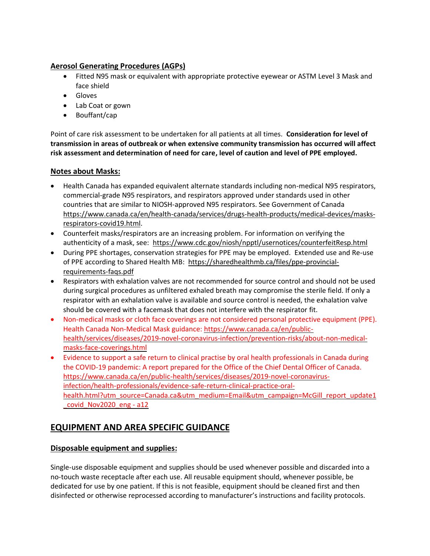#### **Aerosol Generating Procedures (AGPs)**

- Fitted N95 mask or equivalent with appropriate protective eyewear or ASTM Level 3 Mask and face shield
- Gloves
- Lab Coat or gown
- Bouffant/cap

Point of care risk assessment to be undertaken for all patients at all times. **Consideration for level of transmission in areas of outbreak or when extensive community transmission has occurred will affect risk assessment and determination of need for care, level of caution and level of PPE employed.**

#### **Notes about Masks:**

- Health Canada has expanded equivalent alternate standards including non-medical N95 respirators, commercial-grade N95 respirators, and respirators approved under standards used in other countries that are similar to NIOSH-approved N95 respirators. See Government of Canada [https://www.canada.ca/en/health-canada/services/drugs-health-products/medical-devices/masks](https://www.canada.ca/en/health-canada/services/drugs-health-products/medical-devices/masks-respirators-covid19.html)[respirators-covid19.html.](https://www.canada.ca/en/health-canada/services/drugs-health-products/medical-devices/masks-respirators-covid19.html)
- Counterfeit masks/respirators are an increasing problem. For information on verifying the authenticity of a mask, see: <https://www.cdc.gov/niosh/npptl/usernotices/counterfeitResp.html>
- During PPE shortages, conservation strategies for PPE may be employed. Extended use and Re-use of PPE according to Shared Health MB: [https://sharedhealthmb.ca/files/ppe-provincial](https://sharedhealthmb.ca/files/ppe-provincial-requirements-faqs.pdf)[requirements-faqs.pdf](https://sharedhealthmb.ca/files/ppe-provincial-requirements-faqs.pdf)
- Respirators with exhalation valves are not recommended for source control and should not be used during surgical procedures as unfiltered exhaled breath may compromise the sterile field. If only a respirator with an exhalation valve is available and source control is needed, the exhalation valve should be covered with a facemask that does not interfere with the respirator fit.
- Non-medical masks or cloth face coverings are not considered personal protective equipment (PPE). Health Canada Non-Medical Mask guidance: [https://www.canada.ca/en/public](https://www.canada.ca/en/public-health/services/diseases/2019-novel-coronavirus-infection/prevention-risks/about-non-medical-masks-face-coverings.html)[health/services/diseases/2019-novel-coronavirus-infection/prevention-risks/about-non-medical](https://www.canada.ca/en/public-health/services/diseases/2019-novel-coronavirus-infection/prevention-risks/about-non-medical-masks-face-coverings.html)[masks-face-coverings.html](https://www.canada.ca/en/public-health/services/diseases/2019-novel-coronavirus-infection/prevention-risks/about-non-medical-masks-face-coverings.html)
- Evidence to support a safe return to clinical practise by oral health professionals in Canada during the COVID-19 pandemic: A report prepared for the Office of the Chief Dental Officer of Canada. [https://www.canada.ca/en/public-health/services/diseases/2019-novel-coronavirus](https://www.canada.ca/en/public-health/services/diseases/2019-novel-coronavirus-infection/health-professionals/evidence-safe-return-clinical-practice-oral-health.html?utm_source=Canada.ca&utm_medium=Email&utm_campaign=McGill_report_update1_covid_Nov2020_eng#a12)[infection/health-professionals/evidence-safe-return-clinical-practice-oral](https://www.canada.ca/en/public-health/services/diseases/2019-novel-coronavirus-infection/health-professionals/evidence-safe-return-clinical-practice-oral-health.html?utm_source=Canada.ca&utm_medium=Email&utm_campaign=McGill_report_update1_covid_Nov2020_eng#a12)[health.html?utm\\_source=Canada.ca&utm\\_medium=Email&utm\\_campaign=McGill\\_report\\_update1](https://www.canada.ca/en/public-health/services/diseases/2019-novel-coronavirus-infection/health-professionals/evidence-safe-return-clinical-practice-oral-health.html?utm_source=Canada.ca&utm_medium=Email&utm_campaign=McGill_report_update1_covid_Nov2020_eng#a12) covid Nov2020 eng - a12

# **EQUIPMENT AND AREA SPECIFIC GUIDANCE**

#### **Disposable equipment and supplies:**

Single-use disposable equipment and supplies should be used whenever possible and discarded into a no-touch waste receptacle after each use. All reusable equipment should, whenever possible, be dedicated for use by one patient. If this is not feasible, equipment should be cleaned first and then disinfected or otherwise reprocessed according to manufacturer's instructions and facility protocols.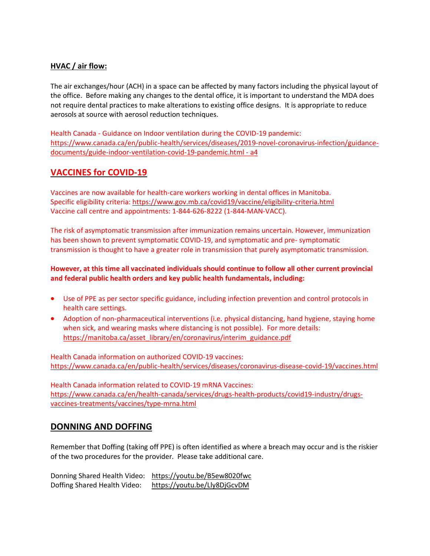#### **HVAC / air flow:**

The air exchanges/hour (ACH) in a space can be affected by many factors including the physical layout of the office. Before making any changes to the dental office, it is important to understand the MDA does not require dental practices to make alterations to existing office designs. It is appropriate to reduce aerosols at source with aerosol reduction techniques.

Health Canada - Guidance on Indoor ventilation during the COVID-19 pandemic: [https://www.canada.ca/en/public-health/services/diseases/2019-novel-coronavirus-infection/guidance](https://www.canada.ca/en/public-health/services/diseases/2019-novel-coronavirus-infection/guidance-documents/guide-indoor-ventilation-covid-19-pandemic.html#a4)[documents/guide-indoor-ventilation-covid-19-pandemic.html -](https://www.canada.ca/en/public-health/services/diseases/2019-novel-coronavirus-infection/guidance-documents/guide-indoor-ventilation-covid-19-pandemic.html#a4) a4

### **VACCINES for COVID-19**

Vaccines are now available for health-care workers working in dental offices in Manitoba. Specific eligibility criteria: <https://www.gov.mb.ca/covid19/vaccine/eligibility-criteria.html> Vaccine call centre and appointments: 1-844-626-8222 (1-844-MAN-VACC).

The risk of asymptomatic transmission after immunization remains uncertain. However, immunization has been shown to prevent symptomatic COVID-19, and symptomatic and pre- symptomatic transmission is thought to have a greater role in transmission that purely asymptomatic transmission.

#### **However, at this time all vaccinated individuals should continue to follow all other current provincial and federal public health orders and key public health fundamentals, including:**

- Use of PPE as per sector specific guidance, including infection prevention and control protocols in health care settings.
- Adoption of non-pharmaceutical interventions (i.e. physical distancing, hand hygiene, staying home when sick, and wearing masks where distancing is not possible). For more details: [https://manitoba.ca/asset\\_library/en/coronavirus/interim\\_guidance.pdf](https://manitoba.ca/asset_library/en/coronavirus/interim_guidance.pdf)

Health Canada information on authorized COVID-19 vaccines: <https://www.canada.ca/en/public-health/services/diseases/coronavirus-disease-covid-19/vaccines.html>

Health Canada information related to COVID-19 mRNA Vaccines: [https://www.canada.ca/en/health-canada/services/drugs-health-products/covid19-industry/drugs](https://www.canada.ca/en/health-canada/services/drugs-health-products/covid19-industry/drugs-vaccines-treatments/vaccines/type-mrna.html)[vaccines-treatments/vaccines/type-mrna.html](https://www.canada.ca/en/health-canada/services/drugs-health-products/covid19-industry/drugs-vaccines-treatments/vaccines/type-mrna.html)

#### **DONNING AND DOFFING**

Remember that Doffing (taking off PPE) is often identified as where a breach may occur and is the riskier of the two procedures for the provider. Please take additional care.

Donning Shared Health Video: <https://youtu.be/B5ew8020fwc> Doffing Shared Health Video: <https://youtu.be/Lly8DjGcvDM>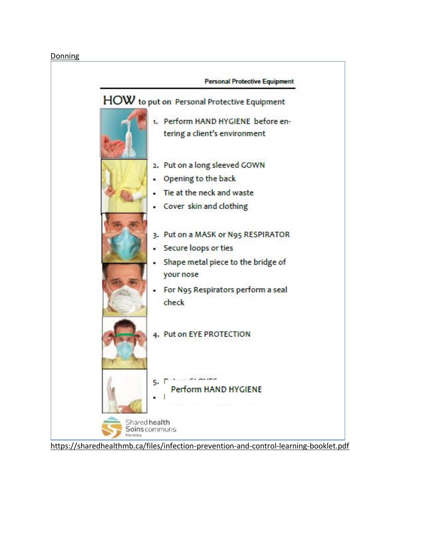#### Donning



<https://sharedhealthmb.ca/files/infection-prevention-and-control-learning-booklet.pdf>